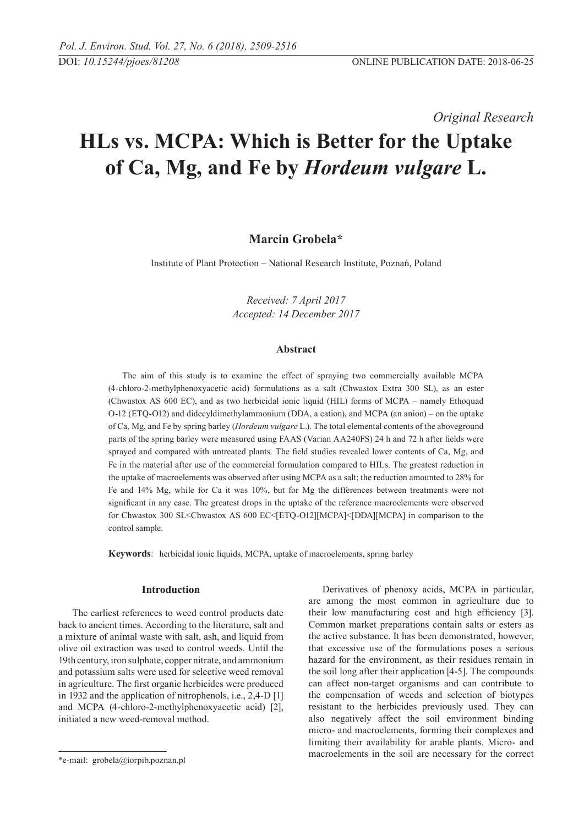*Original Research* 

# **HLs vs. MCPA: Which is Better for the Uptake of Ca, Mg, and Fe by** *Hordeum vulgare* **L.**

# **Marcin Grobela\***

Institute of Plant Protection – National Research Institute, Poznań, Poland

*Received: 7 April 2017 Accepted: 14 December 2017*

#### **Abstract**

The aim of this study is to examine the effect of spraying two commercially available MCPA (4-chloro-2-methylphenoxyacetic acid) formulations as a salt (Chwastox Extra 300 SL), as an ester (Chwastox AS 600 EC), and as two herbicidal ionic liquid (HIL) forms of MCPA – namely Ethoquad O-12 (ETQ-O12) and didecyldimethylammonium (DDA, a cation), and MCPA (an anion) – on the uptake of Ca, Mg, and Fe by spring barley (*Hordeum vulgare* L.). The total elemental contents of the aboveground parts of the spring barley were measured using FAAS (Varian AA240FS) 24 h and 72 h after fields were sprayed and compared with untreated plants. The field studies revealed lower contents of Ca, Mg, and Fe in the material after use of the commercial formulation compared to HILs. The greatest reduction in the uptake of macroelements was observed after using MCPA as a salt; the reduction amounted to 28% for Fe and 14% Mg, while for Ca it was 10%, but for Mg the differences between treatments were not significant in any case. The greatest drops in the uptake of the reference macroelements were observed for Chwastox 300 SL<Chwastox AS 600 EC<[ETQ-O12][MCPA]<[DDA][MCPA] in comparison to the control sample.

**Keywords**: herbicidal ionic liquids, MCPA, uptake of macroelements, spring barley

## **Introduction**

The earliest references to weed control products date back to ancient times. According to the literature, salt and a mixture of animal waste with salt, ash, and liquid from olive oil extraction was used to control weeds. Until the 19th century, iron sulphate, copper nitrate, and ammonium and potassium salts were used for selective weed removal in agriculture. The first organic herbicides were produced in 1932 and the application of nitrophenols, i.e., 2,4-D [1] and MCPA (4-chloro-2-methylphenoxyacetic acid) [2], initiated a new weed-removal method.

Derivatives of phenoxy acids, MCPA in particular, are among the most common in agriculture due to their low manufacturing cost and high efficiency [3]. Common market preparations contain salts or esters as the active substance. It has been demonstrated, however, that excessive use of the formulations poses a serious hazard for the environment, as their residues remain in the soil long after their application [4-5]. The compounds can affect non-target organisms and can contribute to the compensation of weeds and selection of biotypes resistant to the herbicides previously used. They can also negatively affect the soil environment binding micro- and macroelements, forming their complexes and limiting their availability for arable plants. Micro- and macroelements in the soil are necessary for the correct

<sup>\*</sup>e-mail: grobela@iorpib.poznan.pl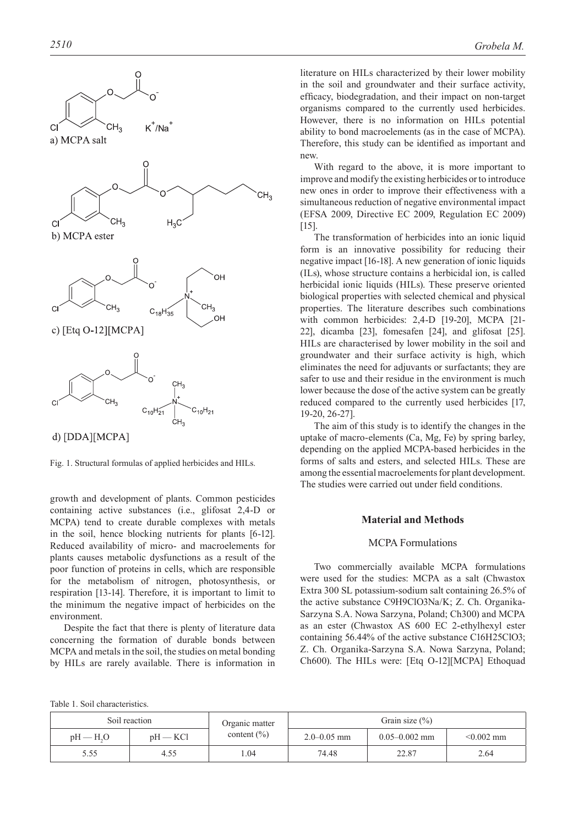



Fig. 1. Structural formulas of applied herbicides and HILs.

growth and development of plants. Common pesticides containing active substances (i.e., glifosat 2,4-D or MCPA) tend to create durable complexes with metals in the soil, hence blocking nutrients for plants [6-12]. Reduced availability of micro- and macroelements for plants causes metabolic dysfunctions as a result of the poor function of proteins in cells, which are responsible for the metabolism of nitrogen, photosynthesis, or respiration [13-14]. Therefore, it is important to limit to the minimum the negative impact of herbicides on the environment.

Despite the fact that there is plenty of literature data concerning the formation of durable bonds between MCPA and metals in the soil, the studies on metal bonding by HILs are rarely available. There is information in

literature on HILs characterized by their lower mobility in the soil and groundwater and their surface activity, efficacy, biodegradation, and their impact on non-target organisms compared to the currently used herbicides. However, there is no information on HILs potential ability to bond macroelements (as in the case of MCPA). Therefore, this study can be identified as important and new.

With regard to the above, it is more important to improve and modify the existing herbicides or to introduce new ones in order to improve their effectiveness with a simultaneous reduction of negative environmental impact (EFSA 2009, Directive EC 2009, Regulation EC 2009) [15].

The transformation of herbicides into an ionic liquid form is an innovative possibility for reducing their negative impact [16-18]. A new generation of ionic liquids (ILs), whose structure contains a herbicidal ion, is called herbicidal ionic liquids (HILs). These preserve oriented biological properties with selected chemical and physical properties. The literature describes such combinations with common herbicides: 2,4-D [19-20], MCPA [21- 22], dicamba [23], fomesafen [24], and glifosat [25]. HILs are characterised by lower mobility in the soil and groundwater and their surface activity is high, which eliminates the need for adjuvants or surfactants; they are safer to use and their residue in the environment is much lower because the dose of the active system can be greatly reduced compared to the currently used herbicides [17, 19-20, 26-27].

The aim of this study is to identify the changes in the uptake of macro-elements (Ca, Mg, Fe) by spring barley, depending on the applied MCPA-based herbicides in the forms of salts and esters, and selected HILs. These are among the essential macroelements for plant development. The studies were carried out under field conditions.

# **Material and Methods**

## MCPA Formulations

Two commercially available MCPA formulations were used for the studies: MCPA as a salt (Chwastox Extra 300 SL potassium-sodium salt containing 26.5% of the active substance C9H9ClO3Na/K; Z. Ch. Organika-Sarzyna S.A. Nowa Sarzyna, Poland; Ch300) and MCPA as an ester (Chwastox AS 600 EC 2-ethylhexyl ester containing 56.44% of the active substance C16H25ClO3; Z. Ch. Organika-Sarzyna S.A. Nowa Sarzyna, Poland; Ch600). The HILs were: [Etq O-12][MCPA] Ethoquad

Table 1. Soil characteristics.

| Soil reaction |            | Organic matter                     | Grain size $(\% )$ |                   |              |  |  |
|---------------|------------|------------------------------------|--------------------|-------------------|--------------|--|--|
| $pH - H2O$    | $pH - KCl$ | content $\left(\frac{0}{0}\right)$ | $2.0 - 0.05$ mm    | $0.05 - 0.002$ mm | $< 0.002$ mm |  |  |
| 5.55          | 4.55       | .04                                | 74.48              | 22.87             | 2.64         |  |  |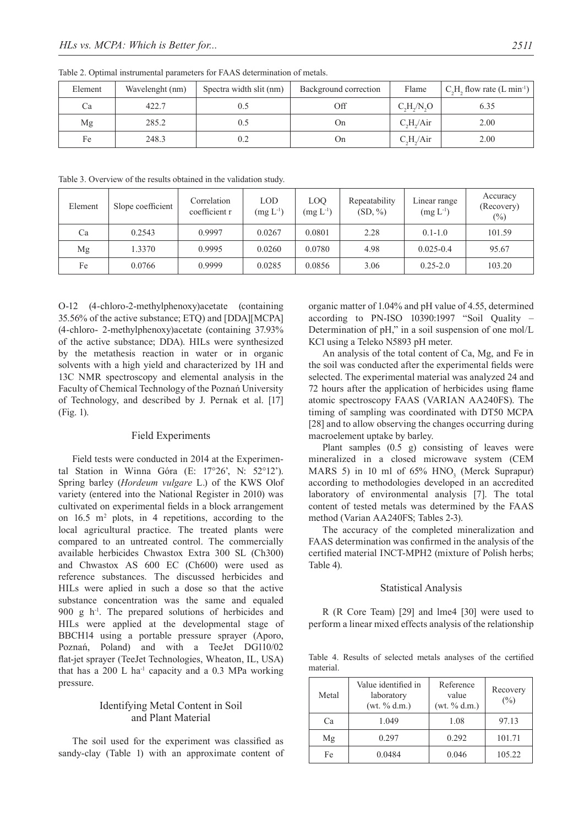| Element | Wavelenght (nm) | Spectra width slit (nm) | Background correction | Flame                              | $C_2H_2$ , flow rate (L min <sup>-1</sup> ) |  |
|---------|-----------------|-------------------------|-----------------------|------------------------------------|---------------------------------------------|--|
| Ca      | 422.7           |                         | Off                   | $C_{\alpha}H_{\alpha}/N_{\alpha}O$ | 6.35                                        |  |
| Mg      | 285.2           | 0.5                     | On                    | $C_{\rm s}H_{\rm s}/\rm Air$       | 2.00                                        |  |
| Fe      | 248.3           | 0.2                     | On                    | $C_{\rm s}H_{\rm s}/\rm Air$       | 2.00                                        |  |

Table 2. Optimal instrumental parameters for FAAS determination of metals.

Table 3. Overview of the results obtained in the validation study.

| Element | Slope coefficient | Correlation<br>coefficient r | <b>LOD</b><br>$(mg L^{-1})$ | LOQ<br>$(mg L^{-1})$ | Repeatability<br>$(SD, \%)$ | Linear range<br>$(mg L^{-1})$ | Accuracy<br>(Recovery)<br>$(\%)$ |
|---------|-------------------|------------------------------|-----------------------------|----------------------|-----------------------------|-------------------------------|----------------------------------|
| Ca      | 0.2543            | 0.9997                       | 0.0267                      | 0.0801               | 2.28                        | $0.1 - 1.0$                   | 101.59                           |
| Mg      | 1.3370            | 0.9995                       | 0.0260                      | 0.0780               | 4.98                        | $0.025 - 0.4$                 | 95.67                            |
| Fe      | 0.0766            | 0.9999                       | 0.0285                      | 0.0856               | 3.06                        | $0.25 - 2.0$                  | 103.20                           |

O-12 (4-chloro-2-methylphenoxy)acetate (containing 35.56% of the active substance; ETQ) and [DDA][MCPA] (4-chloro- 2-methylphenoxy)acetate (containing 37.93% of the active substance; DDA). HILs were synthesized by the metathesis reaction in water or in organic solvents with a high yield and characterized by 1H and 13C NMR spectroscopy and elemental analysis in the Faculty of Chemical Technology of the Poznań University of Technology, and described by J. Pernak et al. [17] (Fig. 1).

#### Field Experiments

Field tests were conducted in 2014 at the Experimental Station in Winna Góra (E: 17°26', N: 52°12'). Spring barley (*Hordeum vulgare* L.) of the KWS Olof variety (entered into the National Register in 2010) was cultivated on experimental fields in a block arrangement on  $16.5$  m<sup>2</sup> plots, in 4 repetitions, according to the local agricultural practice. The treated plants were compared to an untreated control. The commercially available herbicides Chwastox Extra 300 SL (Ch300) and Chwastox AS 600 EC (Ch600) were used as reference substances. The discussed herbicides and HILs were aplied in such a dose so that the active substance concentration was the same and equaled 900 g h<sup>-1</sup>. The prepared solutions of herbicides and HILs were applied at the developmental stage of BBCH14 using a portable pressure sprayer (Aporo, Poznań, Poland) and with a TeeJet DG110/02 flat-jet sprayer (TeeJet Technologies, Wheaton, IL, USA) that has a 200 L ha<sup>-1</sup> capacity and a 0.3 MPa working pressure.

## Identifying Metal Content in Soil and Plant Material

The soil used for the experiment was classified as sandy-clay (Table 1) with an approximate content of organic matter of 1.04% and pH value of 4.55, determined according to PN-ISO 10390:1997 "Soil Quality – Determination of pH," in a soil suspension of one mol/L KCl using a Teleko N5893 pH meter.

An analysis of the total content of Ca, Mg, and Fe in the soil was conducted after the experimental fields were selected. The experimental material was analyzed 24 and 72 hours after the application of herbicides using flame atomic spectroscopy FAAS (VARIAN AA240FS). The timing of sampling was coordinated with DT50 MCPA [28] and to allow observing the changes occurring during macroelement uptake by barley.

Plant samples (0.5 g) consisting of leaves were mineralized in a closed microwave system (CEM MARS 5) in 10 ml of  $65\%$  HNO<sub>3</sub> (Merck Suprapur) according to methodologies developed in an accredited laboratory of environmental analysis [7]. The total content of tested metals was determined by the FAAS method (Varian AA240FS; Tables 2-3).

The accuracy of the completed mineralization and FAAS determination was confirmed in the analysis of the certified material INCT-MPH2 (mixture of Polish herbs; Table 4).

#### Statistical Analysis

R (R Core Team) [29] and lme4 [30] were used to perform a linear mixed effects analysis of the relationship

Table 4. Results of selected metals analyses of the certified material.

| Metal | Value identified in<br>laboratory<br>(wt. % d.m.) | Reference<br>value<br>(wt. % d.m.) | Recovery<br>(%) |  |
|-------|---------------------------------------------------|------------------------------------|-----------------|--|
| Ca    | 1.049                                             | 1.08                               | 97.13           |  |
| Mg    | 0.297                                             | 0.292                              | 101.71          |  |
| Fe    | 0.0484                                            | 0.046                              | 105.22          |  |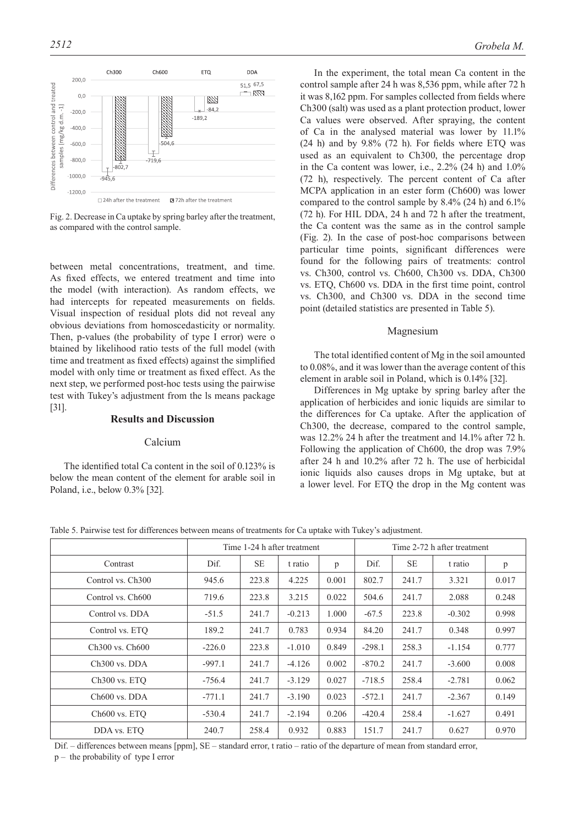

Fig. 2. Decrease in Ca uptake by spring barley after the treatment, as compared with the control sample.

between metal concentrations, treatment, and time. As fixed effects, we entered treatment and time into the model (with interaction). As random effects, we had intercepts for repeated measurements on fields. Visual inspection of residual plots did not reveal any obvious deviations from homoscedasticity or normality. Then, p-values (the probability of type I error) were o btained by likelihood ratio tests of the full model (with time and treatment as fixed effects) against the simplified model with only time or treatment as fixed effect. As the next step, we performed post-hoc tests using the pairwise test with Tukey's adjustment from the ls means package [31].

## **Results and Discussion**

#### Calcium

The identified total Ca content in the soil of 0.123% is below the mean content of the element for arable soil in Poland, i.e., below 0.3% [32].

In the experiment, the total mean Ca content in the control sample after 24 h was 8,536 ppm, while after 72 h it was 8,162 ppm. For samples collected from fields where Ch300 (salt) was used as a plant protection product, lower Ca values were observed. After spraying, the content of Ca in the analysed material was lower by 11.1% (24 h) and by 9.8% (72 h). For fields where ETQ was used as an equivalent to Ch300, the percentage drop in the Ca content was lower, i.e., 2.2% (24 h) and 1.0% (72 h), respectively. The percent content of Ca after MCPA application in an ester form (Ch600) was lower compared to the control sample by 8.4% (24 h) and 6.1% (72 h). For HIL DDA, 24 h and 72 h after the treatment, the Ca content was the same as in the control sample (Fig. 2). In the case of post-hoc comparisons between particular time points, significant differences were found for the following pairs of treatments: control vs. Ch300, control vs. Ch600, Ch300 vs. DDA, Ch300 vs. ETQ, Ch600 vs. DDA in the first time point, control vs. Ch300, and Ch300 vs. DDA in the second time point (detailed statistics are presented in Table 5).

#### Magnesium

The total identified content of Mg in the soil amounted to 0.08%, and it was lower than the average content of this element in arable soil in Poland, which is 0.14% [32].

Differences in Mg uptake by spring barley after the application of herbicides and ionic liquids are similar to the differences for Ca uptake. After the application of Ch300, the decrease, compared to the control sample, was 12.2% 24 h after the treatment and 14.1% after 72 h. Following the application of Ch600, the drop was 7.9% after 24 h and 10.2% after 72 h. The use of herbicidal ionic liquids also causes drops in Mg uptake, but at a lower level. For ETQ the drop in the Mg content was

Table 5. Pairwise test for differences between means of treatments for Ca uptake with Tukey's adjustment.

|                                         | Time 1-24 h after treatment |           |          |       | Time 2-72 h after treatment |           |          |       |
|-----------------------------------------|-----------------------------|-----------|----------|-------|-----------------------------|-----------|----------|-------|
| Contrast                                | Dif.                        | <b>SE</b> | t ratio  | p     | Dif.                        | <b>SE</b> | t ratio  | p     |
| Control vs. Ch <sub>300</sub>           | 945.6                       | 223.8     | 4.225    | 0.001 | 802.7                       | 241.7     | 3.321    | 0.017 |
| Control vs. Ch600                       | 719.6                       | 223.8     | 3.215    | 0.022 | 504.6                       | 241.7     | 2.088    | 0.248 |
| Control vs. DDA                         | $-51.5$                     | 241.7     | $-0.213$ | 1.000 | $-67.5$                     | 223.8     | $-0.302$ | 0.998 |
| Control vs. ETO                         | 189.2                       | 241.7     | 0.783    | 0.934 | 84.20                       | 241.7     | 0.348    | 0.997 |
| Ch <sub>300</sub> vs. Ch <sub>600</sub> | $-226.0$                    | 223.8     | $-1.010$ | 0.849 | $-298.1$                    | 258.3     | $-1.154$ | 0.777 |
| Ch <sub>300</sub> vs. DDA               | $-997.1$                    | 241.7     | $-4.126$ | 0.002 | $-870.2$                    | 241.7     | $-3.600$ | 0.008 |
| $Ch300$ vs. $ETO$                       | $-756.4$                    | 241.7     | $-3.129$ | 0.027 | $-718.5$                    | 258.4     | $-2.781$ | 0.062 |
| $Ch600$ vs. $DDA$                       | $-771.1$                    | 241.7     | $-3.190$ | 0.023 | $-572.1$                    | 241.7     | $-2.367$ | 0.149 |
| $Ch600$ vs. $ETO$                       | $-530.4$                    | 241.7     | $-2.194$ | 0.206 | $-420.4$                    | 258.4     | $-1.627$ | 0.491 |
| DDA vs. ETO                             | 240.7                       | 258.4     | 0.932    | 0.883 | 151.7                       | 241.7     | 0.627    | 0.970 |

Dif. – differences between means [ppm], SE – standard error, t ratio – ratio of the departure of mean from standard error, p – the probability of type I error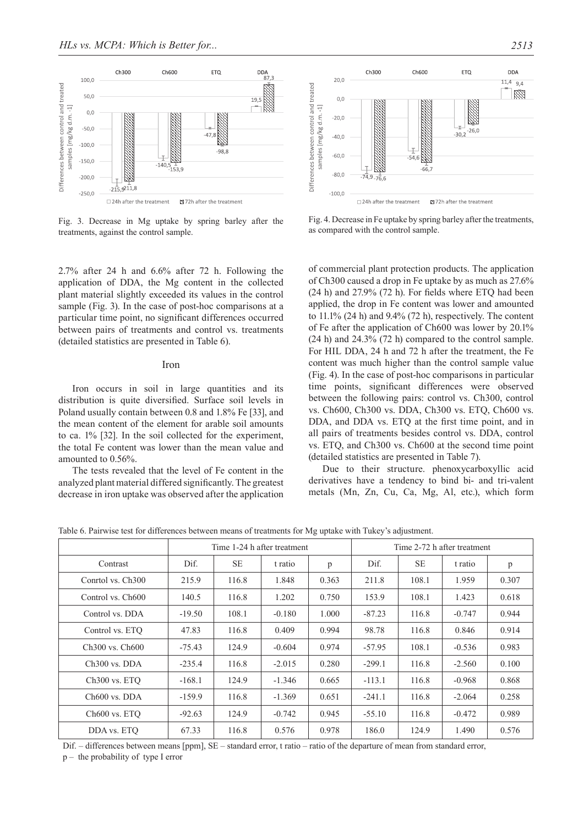

Fig. 3. Decrease in Mg uptake by spring barley after the treatments, against the control sample.

2.7% after 24 h and 6.6% after 72 h. Following the application of DDA, the Mg content in the collected plant material slightly exceeded its values in the control sample (Fig. 3). In the case of post-hoc comparisons at a particular time point, no significant differences occurred between pairs of treatments and control vs. treatments (detailed statistics are presented in Table 6).

#### Iron

Iron occurs in soil in large quantities and its distribution is quite diversified. Surface soil levels in Poland usually contain between 0.8 and 1.8% Fe [33], and the mean content of the element for arable soil amounts to ca. 1% [32]. In the soil collected for the experiment, the total Fe content was lower than the mean value and amounted to 0.56%.

The tests revealed that the level of Fe content in the analyzed plant material differed significantly. The greatest decrease in iron uptake was observed after the application



Fig. 4. Decrease in Fe uptake by spring barley after the treatments, as compared with the control sample.

of commercial plant protection products. The application of Ch300 caused a drop in Fe uptake by as much as 27.6% (24 h) and 27.9% (72 h). For fields where ETQ had been applied, the drop in Fe content was lower and amounted to 11.1% (24 h) and 9.4% (72 h), respectively. The content of Fe after the application of Ch600 was lower by 20.1% (24 h) and 24.3% (72 h) compared to the control sample. For HIL DDA, 24 h and 72 h after the treatment, the Fe content was much higher than the control sample value (Fig. 4). In the case of post-hoc comparisons in particular time points, significant differences were observed between the following pairs: control vs. Ch300, control vs. Ch600, Ch300 vs. DDA, Ch300 vs. ETQ, Ch600 vs. DDA, and DDA vs. ETQ at the first time point, and in all pairs of treatments besides control vs. DDA, control vs. ETQ, and Ch300 vs. Ch600 at the second time point (detailed statistics are presented in Table 7).

Due to their structure. phenoxycarboxyllic acid derivatives have a tendency to bind bi- and tri-valent metals (Mn, Zn, Cu, Ca, Mg, Al, etc.), which form

Table 6. Pairwise test for differences between means of treatments for Mg uptake with Tukey's adjustment.

|                                         | Time 1-24 h after treatment |           |          |       | Time 2-72 h after treatment |           |          |       |
|-----------------------------------------|-----------------------------|-----------|----------|-------|-----------------------------|-----------|----------|-------|
| Contrast                                | Dif.                        | <b>SE</b> | t ratio  | p     | Dif.                        | <b>SE</b> | t ratio  | p     |
| Conrtol vs. Ch <sub>300</sub>           | 215.9                       | 116.8     | 1.848    | 0.363 | 211.8                       | 108.1     | 1.959    | 0.307 |
| Control vs. Ch600                       | 140.5                       | 116.8     | 1.202    | 0.750 | 153.9                       | 108.1     | 1.423    | 0.618 |
| Control vs. DDA                         | $-19.50$                    | 108.1     | $-0.180$ | 1.000 | $-87.23$                    | 116.8     | $-0.747$ | 0.944 |
| Control vs. ETQ                         | 47.83                       | 116.8     | 0.409    | 0.994 | 98.78                       | 116.8     | 0.846    | 0.914 |
| Ch <sub>300</sub> vs. Ch <sub>600</sub> | $-75.43$                    | 124.9     | $-0.604$ | 0.974 | $-57.95$                    | 108.1     | $-0.536$ | 0.983 |
| $Ch300$ vs. $DDA$                       | $-235.4$                    | 116.8     | $-2.015$ | 0.280 | $-299.1$                    | 116.8     | $-2.560$ | 0.100 |
| $Ch300$ vs. $ETO$                       | $-168.1$                    | 124.9     | $-1.346$ | 0.665 | $-113.1$                    | 116.8     | $-0.968$ | 0.868 |
| $Ch600$ vs. $DDA$                       | $-159.9$                    | 116.8     | $-1.369$ | 0.651 | $-241.1$                    | 116.8     | $-2.064$ | 0.258 |
| $Ch600$ vs. $ETO$                       | $-92.63$                    | 124.9     | $-0.742$ | 0.945 | $-55.10$                    | 116.8     | $-0.472$ | 0.989 |
| DDA vs. ETO                             | 67.33                       | 116.8     | 0.576    | 0.978 | 186.0                       | 124.9     | 1.490    | 0.576 |

Dif. – differences between means [ppm], SE – standard error, t ratio – ratio of the departure of mean from standard error, p – the probability of type I error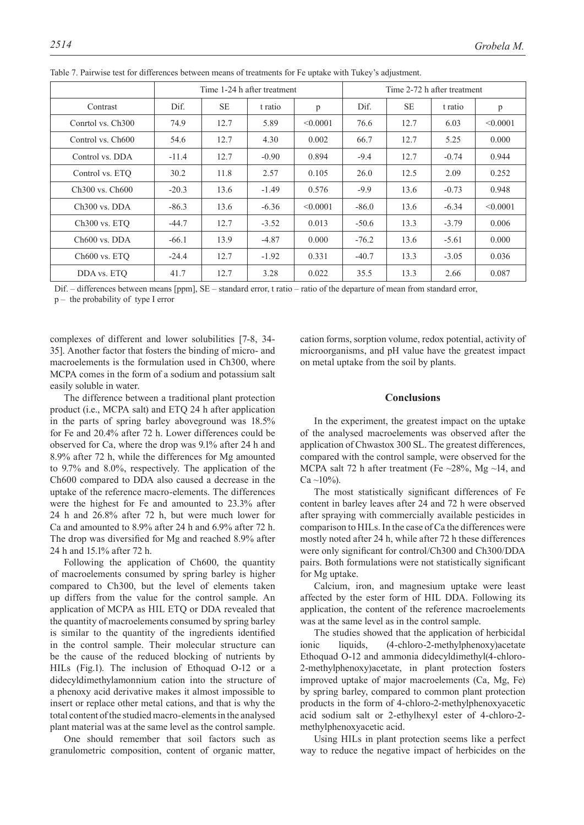|                                         | Time 1-24 h after treatment |           |         |          | Time 2-72 h after treatment |           |         |          |
|-----------------------------------------|-----------------------------|-----------|---------|----------|-----------------------------|-----------|---------|----------|
| Contrast                                | Dif.                        | <b>SE</b> | t ratio | p        | Dif.                        | <b>SE</b> | t ratio | p        |
| Conrtol vs. Ch <sub>300</sub>           | 74.9                        | 12.7      | 5.89    | < 0.0001 | 76.6                        | 12.7      | 6.03    | < 0.0001 |
| Control vs. Ch600                       | 54.6                        | 12.7      | 4.30    | 0.002    | 66.7                        | 12.7      | 5.25    | 0.000    |
| Control vs. DDA                         | $-11.4$                     | 12.7      | $-0.90$ | 0.894    | $-9.4$                      | 12.7      | $-0.74$ | 0.944    |
| Control vs. ETO                         | 30.2                        | 11.8      | 2.57    | 0.105    | 26.0                        | 12.5      | 2.09    | 0.252    |
| Ch <sub>300</sub> vs. Ch <sub>600</sub> | $-20.3$                     | 13.6      | $-1.49$ | 0.576    | $-9.9$                      | 13.6      | $-0.73$ | 0.948    |
| Ch <sub>300</sub> vs. DDA               | $-86.3$                     | 13.6      | $-6.36$ | < 0.0001 | $-86.0$                     | 13.6      | $-6.34$ | < 0.0001 |
| Ch300 vs. ETQ                           | $-44.7$                     | 12.7      | $-3.52$ | 0.013    | $-50.6$                     | 13.3      | $-3.79$ | 0.006    |
| $Ch600$ vs. $DDA$                       | $-66.1$                     | 13.9      | $-4.87$ | 0.000    | $-76.2$                     | 13.6      | $-5.61$ | 0.000    |
| Ch600 vs. ETQ                           | $-24.4$                     | 12.7      | $-1.92$ | 0.331    | $-40.7$                     | 13.3      | $-3.05$ | 0.036    |
| DDA vs. ETO                             | 41.7                        | 12.7      | 3.28    | 0.022    | 35.5                        | 13.3      | 2.66    | 0.087    |

Table 7. Pairwise test for differences between means of treatments for Fe uptake with Tukey's adjustment.

Dif. – differences between means [ppm], SE – standard error, t ratio – ratio of the departure of mean from standard error,

p – the probability of type I error

complexes of different and lower solubilities [7-8, 34- 35]. Another factor that fosters the binding of micro- and macroelements is the formulation used in Ch300, where MCPA comes in the form of a sodium and potassium salt easily soluble in water.

The difference between a traditional plant protection product (i.e., MCPA salt) and ETQ 24 h after application in the parts of spring barley aboveground was 18.5% for Fe and 20.4% after 72 h. Lower differences could be observed for Ca, where the drop was 9.1% after 24 h and 8.9% after 72 h, while the differences for Mg amounted to 9.7% and 8.0%, respectively. The application of the Ch600 compared to DDA also caused a decrease in the uptake of the reference macro-elements. The differences were the highest for Fe and amounted to 23.3% after 24 h and 26.8% after 72 h, but were much lower for Ca and amounted to 8.9% after 24 h and 6.9% after 72 h. The drop was diversified for Mg and reached 8.9% after 24 h and 15.1% after 72 h.

Following the application of Ch600, the quantity of macroelements consumed by spring barley is higher compared to Ch300, but the level of elements taken up differs from the value for the control sample. An application of MCPA as HIL ETQ or DDA revealed that the quantity of macroelements consumed by spring barley is similar to the quantity of the ingredients identified in the control sample. Their molecular structure can be the cause of the reduced blocking of nutrients by HILs (Fig.1). The inclusion of Ethoquad O-12 or a didecyldimethylamonnium cation into the structure of a phenoxy acid derivative makes it almost impossible to insert or replace other metal cations, and that is why the total content of the studied macro-elements in the analysed plant material was at the same level as the control sample.

One should remember that soil factors such as granulometric composition, content of organic matter, cation forms, sorption volume, redox potential, activity of microorganisms, and pH value have the greatest impact on metal uptake from the soil by plants.

#### **Conclusions**

In the experiment, the greatest impact on the uptake of the analysed macroelements was observed after the application of Chwastox 300 SL. The greatest differences, compared with the control sample, were observed for the MCPA salt 72 h after treatment (Fe  $\sim$ 28%, Mg  $\sim$ 14, and  $Ca \sim 10\%$ ).

The most statistically significant differences of Fe content in barley leaves after 24 and 72 h were observed after spraying with commercially available pesticides in comparison to HILs. In the case of Ca the differences were mostly noted after 24 h, while after 72 h these differences were only significant for control/Ch300 and Ch300/DDA pairs. Both formulations were not statistically significant for Mg uptake.

Calcium, iron, and magnesium uptake were least affected by the ester form of HIL DDA. Following its application, the content of the reference macroelements was at the same level as in the control sample.

The studies showed that the application of herbicidal ionic liquids, (4-chloro-2-methylphenoxy)acetate Ethoquad O-12 and ammonia didecyldimethyl(4-chloro-2-methylphenoxy)acetate, in plant protection fosters improved uptake of major macroelements (Ca, Mg, Fe) by spring barley, compared to common plant protection products in the form of 4-chloro-2-methylphenoxyacetic acid sodium salt or 2-ethylhexyl ester of 4-chloro-2 methylphenoxyacetic acid.

Using HILs in plant protection seems like a perfect way to reduce the negative impact of herbicides on the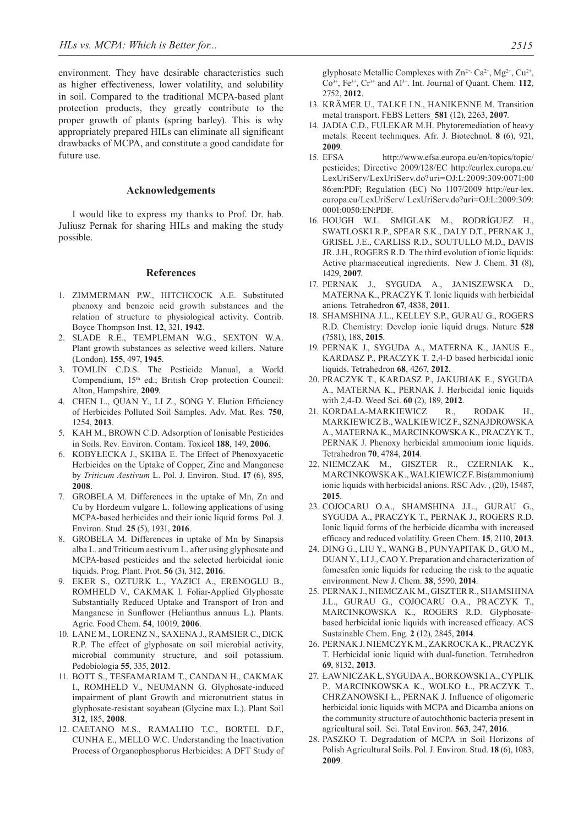environment. They have desirable characteristics such as higher effectiveness, lower volatility, and solubility in soil. Compared to the traditional MCPA-based plant protection products, they greatly contribute to the proper growth of plants (spring barley). This is why appropriately prepared HILs can eliminate all significant drawbacks of MCPA, and constitute a good candidate for future use.

#### **Acknowledgements**

I would like to express my thanks to Prof. Dr. hab. Juliusz Pernak for sharing HILs and making the study possible.

#### **References**

- 1. ZIMMERMAN P.W., HITCHCOCK A.E. Substituted phenoxy and benzoic acid growth substances and the relation of structure to physiological activity. Contrib. Boyce Thompson Inst. **12**, 321, **1942**.
- 2. SLADE R.E., TEMPLEMAN W.G., SEXTON W.A. Plant growth substances as selective weed killers. Nature (London). **155**, 497, **1945**.
- 3. TOMLIN C.D.S. The Pesticide Manual, a World Compendium, 15th ed.; British Crop protection Council: Alton, Hampshire, **2009**.
- 4. CHEN L., QUAN Y., LI Z., SONG Y. Elution Efficiency of Herbicides Polluted Soil Samples. Adv. Mat. Res. **750**, 1254, **2013**.
- 5. KAH M., BROWN C.D. Adsorption of Ionisable Pesticides in Soils. Rev. Environ. Contam. Toxicol **188**, 149, **2006**.
- 6. KOBYŁECKA J., SKIBA E. The Effect of Phenoxyacetic Herbicides on the Uptake of Copper, Zinc and Manganese by *Triticum Aestivum* L. Pol. J. Environ. Stud. **17** (6), 895, **2008**.
- 7. GROBELA M. Differences in the uptake of Mn, Zn and Cu by Hordeum vulgare L. following applications of using MCPA-based herbicides and their ionic liquid forms. Pol. J. Environ. Stud. **25** (5), 1931, **2016**.
- 8. GROBELA M. Differences in uptake of Mn by Sinapsis alba L. and Triticum aestivum L. after using glyphosate and MCPA-based pesticides and the selected herbicidal ionic liquids. Prog. Plant. Prot. **56** (3), 312, **2016**.
- 9. EKER S., OZTURK L., YAZICI A., ERENOGLU B., ROMHELD V., CAKMAK I. Foliar-Applied Glyphosate Substantially Reduced Uptake and Transport of Iron and Manganese in Sunflower (Helianthus annuus L.). Plants. Agric. Food Chem. **54**, 10019, **2006**.
- 10. LANE M., LORENZ N., SAXENA J., RAMSIER C., DICK R.P. The effect of glyphosate on soil microbial activity, microbial community structure, and soil potassium. Pedobiologia **55**, 335, **2012**.
- 11. BOTT S., TESFAMARIAM T., CANDAN H., CAKMAK I., ROMHELD V., NEUMANN G. Glyphosate-induced impairment of plant Growth and micronutrient status in glyphosate-resistant soyabean (Glycine max L.). Plant Soil **312**, 185, **2008**.
- 12. CAETANO M.S., RAMALHO T.C., BORTEL D.F., CUNHA E., MELLO W.C. Understanding the Inactivation Process of Organophosphorus Herbicides: A DFT Study of

glyphosate Metallic Complexes with Zn<sup>2+,</sup> Ca<sup>2+</sup>, Mg<sup>2+</sup>, Cu<sup>2+</sup>,  $Co<sup>3+</sup>$ ,  $Fe<sup>3+</sup>$ ,  $Cr<sup>3+</sup>$  and  $Al<sup>3+</sup>$ . Int. Journal of Quant. Chem. 112, 2752, **2012**.

- 13. KRÄMER U., TALKE I.N., HANIKENNE M. Transition metal transport. FEBS Letters **581** (12), 2263, **2007**.
- 14. JADIA C.D., FULEKAR M.H. Phytoremediation of heavy metals: Recent techniques. Afr. J. Biotechnol. **8** (6), 921, **2009**.
- 15. EFSA http://www.efsa.europa.eu/en/topics/topic/ pesticides; Directive 2009/128/EC http://eurlex.europa.eu/ LexUriServ/LexUriServ.do?uri=OJ:L:2009:309:0071:00 86:en:PDF; Regulation (EC) No 1107/2009 http://eur-lex. europa.eu/LexUriServ/ LexUriServ.do?uri=OJ:L:2009:309: 0001:0050:EN:PDF.
- 16. HOUGH W.L. SMIGLAK M., RODRÍGUEZ H., SWATLOSKI R.P., SPEAR S.K., DALY D.T., PERNAK J., GRISEL J.E., CARLISS R.D., SOUTULLO M.D., DAVIS JR. J.H., ROGERS R.D. The third evolution of ionic liquids: Active pharmaceutical ingredients. New J. Chem. **31** (8), 1429, **2007**.
- 17. PERNAK J., SYGUDA A., JANISZEWSKA D., MATERNA K., PRACZYK T. Ionic liquids with herbicidal anions. Tetrahedron **67**, 4838, **2011**.
- 18. Shamshina J.L., Kelley S.P., Gurau G., Rogers R.D. Chemistry: Develop ionic liquid drugs. Nature **528** (7581), 188, **2015**.
- 19. PERNAK J., SYGUDA A., MATERNA K., JANUS E., KARDASZ P., PRACZYK T. 2,4-D based herbicidal ionic liquids. Tetrahedron **68**, 4267, **2012**.
- 20. PRACZYK T., KARDASZ P., JAKUBIAK E., SYGUDA A., MATERNA K., PERNAK J. Herbicidal ionic liquids with 2,4-D. Weed Sci. **60** (2), 189, **2012**.
- 21. KORDALA-MARKIEWICZ R., RODAK H., MARKIEWICZ B., WALKIEWICZ F., SZNAJDROWSKA A., MATERNA K., MARCINKOWSKA K., PRACZYK T., PERNAK J. Phenoxy herbicidal ammonium ionic liquids. Tetrahedron **70**, 4784, **2014**.
- 22. NIEMCZAK M., GISZTER R., CZERNIAK K., MARCINKOWSKA K., WALKIEWICZ F. Bis(ammonium) ionic liquids with herbicidal anions. RSC Adv. , (20), 15487, **2015**.
- 23. COJOCARU O.A., SHAMSHINA J.L., GURAU G., SYGUDA A., PRACZYK T., PERNAK J., ROGERS R.D. Ionic liquid forms of the herbicide dicamba with increased efficacy and reduced volatility. Green Chem. **15**, 2110, **2013**.
- 24. DING G., LIU Y., WANG B., PUNYAPITAK D., GUO M., DUAN Y., LI J., CAO Y. Preparation and characterization of fomesafen ionic liquids for reducing the risk to the aquatic environment. New J. Chem. **38**, 5590, **2014**.
- 25. PERNAK J., NIEMCZAK M., GISZTER R., SHAMSHINA J.L., GURAU G., COJOCARU O.A., PRACZYK T., MARCINKOWSKA K., ROGERS R.D. Glyphosatebased herbicidal ionic liquids with increased efficacy. ACS Sustainable Chem. Eng. **2** (12), 2845, **2014**.
- 26. PERNAK J. NIEMCZYK M., ZAKROCKA K., PRACZYK T. Herbicidal ionic liquid with dual-function. Tetrahedron **69**, 8132, **2013**.
- 27. ŁAWNICZAK Ł, SYGUDA A., BORKOWSKI A., CYPLIK P., MARCINKOWSKA K., WOLKO Ł., PRACZYK T., CHRZANOWSKI Ł., PERNAK J. Influence of oligomeric herbicidal ionic liquids with MCPA and Dicamba anions on the community structure of autochthonic bacteria present in agricultural soil. Sci. Total Environ. **563**, 247, **2016**.
- 28. PASZKO T. Degradation of MCPA in Soil Horizons of Polish Agricultural Soils. Pol. J. Environ. Stud. **18** (6), 1083, **2009**.